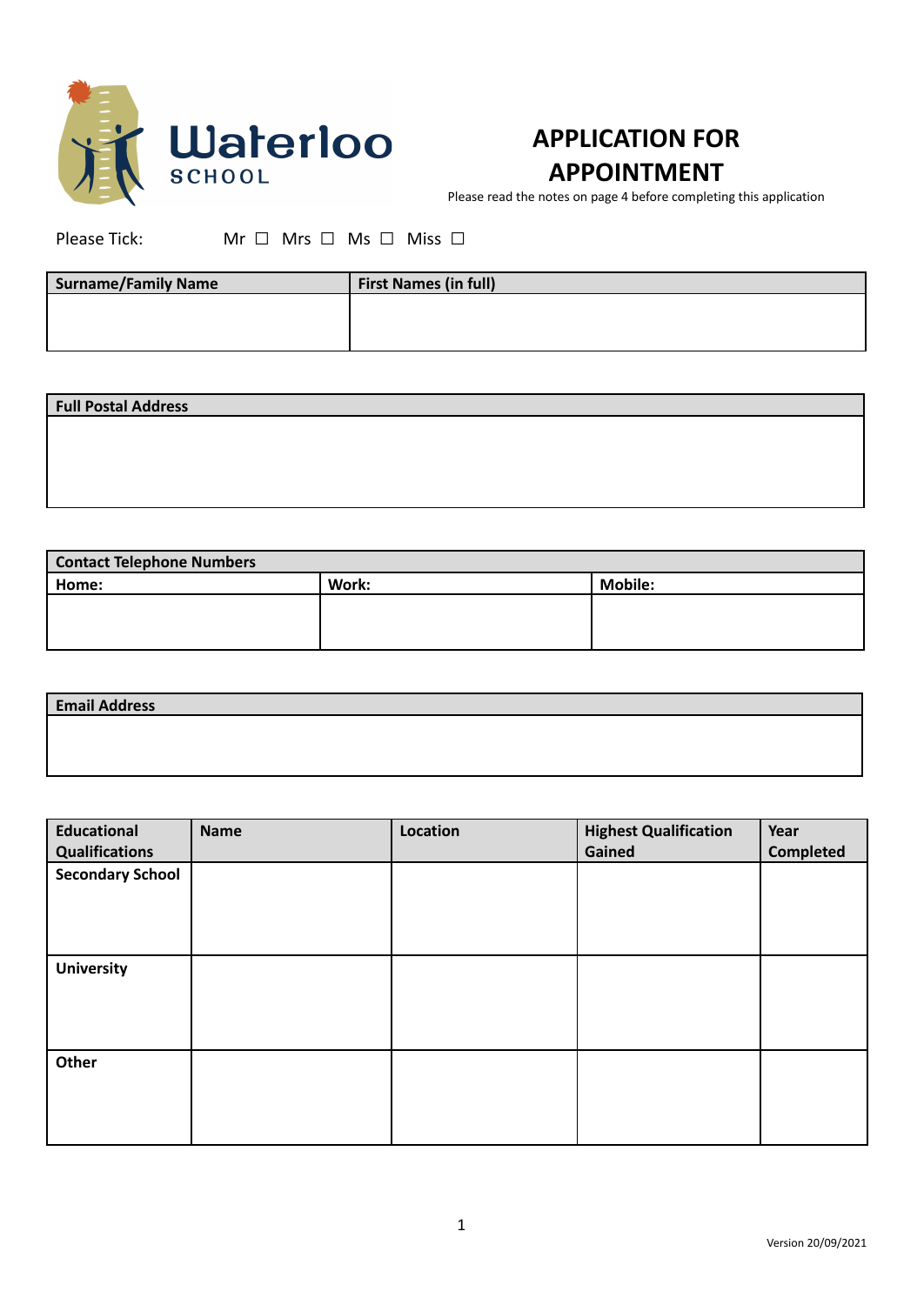

## **APPLICATION FOR APPOINTMENT**

Please read the notes on page 4 before completing this application

Please Tick: Mr □ Mrs □ Ms □ Miss □

| <b>Surname/Family Name</b> | <b>First Names (in full)</b> |
|----------------------------|------------------------------|
|                            |                              |
|                            |                              |

| <b>Full Postal Address</b> |  |  |
|----------------------------|--|--|
|                            |  |  |
|                            |  |  |
|                            |  |  |
|                            |  |  |

| <b>Contact Telephone Numbers</b> |       |                |  |
|----------------------------------|-------|----------------|--|
| Home:                            | Work: | <b>Mobile:</b> |  |
|                                  |       |                |  |
|                                  |       |                |  |
|                                  |       |                |  |

| <b>Email Address</b> |  |
|----------------------|--|
|                      |  |
|                      |  |

| <b>Educational</b><br><b>Qualifications</b> | <b>Name</b> | Location | <b>Highest Qualification</b><br>Gained | Year<br><b>Completed</b> |
|---------------------------------------------|-------------|----------|----------------------------------------|--------------------------|
| <b>Secondary School</b>                     |             |          |                                        |                          |
|                                             |             |          |                                        |                          |
| <b>University</b>                           |             |          |                                        |                          |
|                                             |             |          |                                        |                          |
| Other                                       |             |          |                                        |                          |
|                                             |             |          |                                        |                          |
|                                             |             |          |                                        |                          |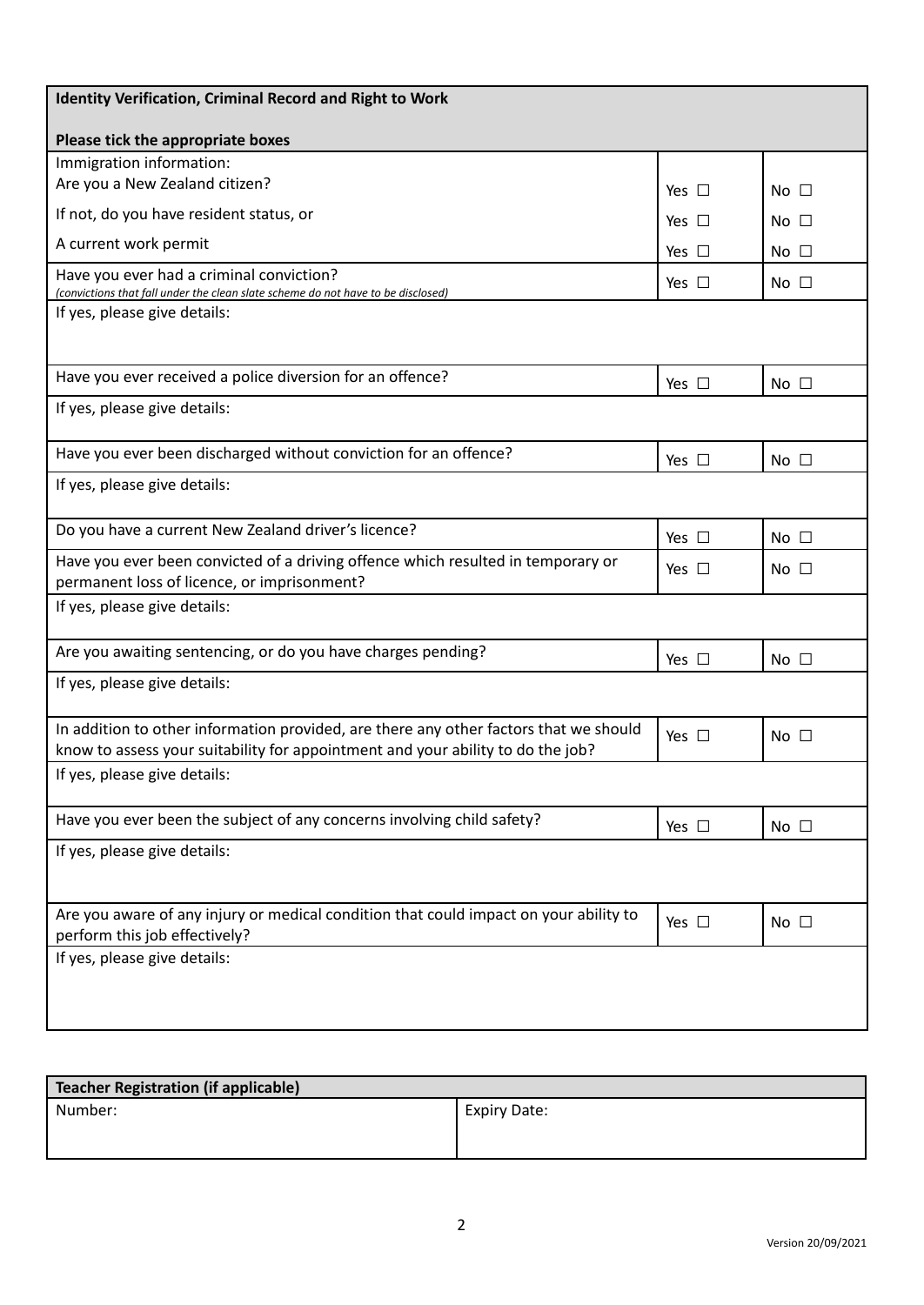| <b>Identity Verification, Criminal Record and Right to Work</b>                                                                                                          |               |                 |
|--------------------------------------------------------------------------------------------------------------------------------------------------------------------------|---------------|-----------------|
| Please tick the appropriate boxes                                                                                                                                        |               |                 |
| Immigration information:                                                                                                                                                 |               |                 |
| Are you a New Zealand citizen?                                                                                                                                           | Yes $\square$ | No $\square$    |
| If not, do you have resident status, or                                                                                                                                  | Yes $\Box$    | No $\square$    |
| A current work permit                                                                                                                                                    | Yes $\square$ | $No$ $\Box$     |
| Have you ever had a criminal conviction?<br>(convictions that fall under the clean slate scheme do not have to be disclosed)                                             | Yes $\square$ | No $\square$    |
| If yes, please give details:                                                                                                                                             |               |                 |
| Have you ever received a police diversion for an offence?                                                                                                                | Yes $\Box$    | No <sub>1</sub> |
| If yes, please give details:                                                                                                                                             |               |                 |
| Have you ever been discharged without conviction for an offence?                                                                                                         | Yes $\square$ | $No$ $\Box$     |
| If yes, please give details:                                                                                                                                             |               |                 |
| Do you have a current New Zealand driver's licence?                                                                                                                      | Yes $\Box$    | $No$ $\Box$     |
| Have you ever been convicted of a driving offence which resulted in temporary or<br>permanent loss of licence, or imprisonment?                                          | Yes $\Box$    | No $\square$    |
| If yes, please give details:                                                                                                                                             |               |                 |
| Are you awaiting sentencing, or do you have charges pending?                                                                                                             | Yes $\Box$    | $No$ $\Box$     |
| If yes, please give details:                                                                                                                                             |               |                 |
| In addition to other information provided, are there any other factors that we should<br>know to assess your suitability for appointment and your ability to do the job? | Yes $\Box$    | $No$ $\Box$     |
| If yes, please give details:                                                                                                                                             |               |                 |
| Have you ever been the subject of any concerns involving child safety?                                                                                                   | Yes $\square$ | No $\square$    |
| If yes, please give details:                                                                                                                                             |               |                 |
| Are you aware of any injury or medical condition that could impact on your ability to<br>perform this job effectively?                                                   | Yes $\square$ | No $\square$    |
| If yes, please give details:                                                                                                                                             |               |                 |

| Teacher Registration (if applicable) |                     |
|--------------------------------------|---------------------|
| Number:                              | <b>Expiry Date:</b> |
|                                      |                     |
|                                      |                     |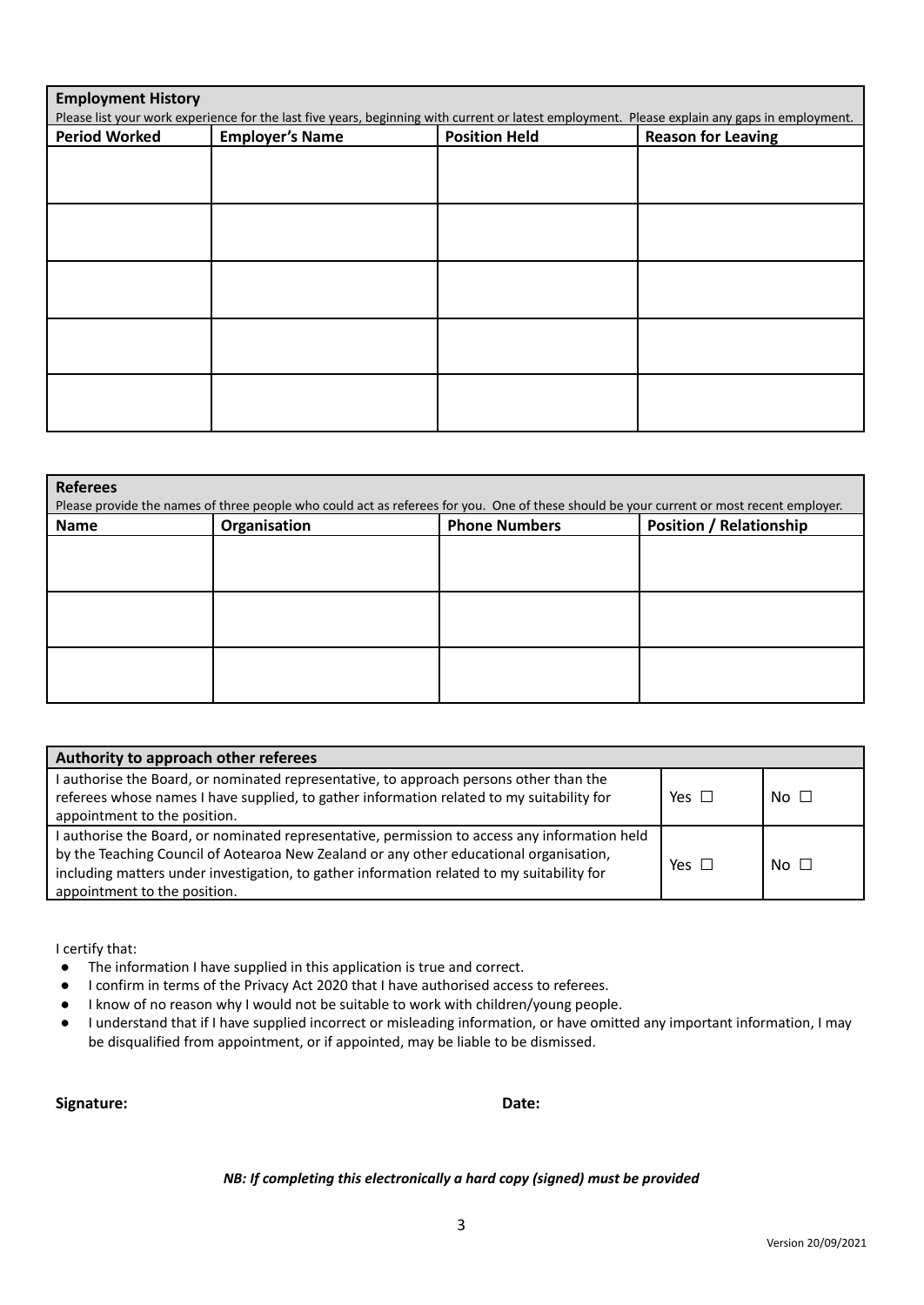| <b>Employment History</b><br>Please list your work experience for the last five years, beginning with current or latest employment. Please explain any gaps in employment. |                        |                      |                           |  |
|----------------------------------------------------------------------------------------------------------------------------------------------------------------------------|------------------------|----------------------|---------------------------|--|
| <b>Period Worked</b>                                                                                                                                                       | <b>Employer's Name</b> | <b>Position Held</b> | <b>Reason for Leaving</b> |  |
|                                                                                                                                                                            |                        |                      |                           |  |
|                                                                                                                                                                            |                        |                      |                           |  |
|                                                                                                                                                                            |                        |                      |                           |  |
|                                                                                                                                                                            |                        |                      |                           |  |
|                                                                                                                                                                            |                        |                      |                           |  |
|                                                                                                                                                                            |                        |                      |                           |  |
|                                                                                                                                                                            |                        |                      |                           |  |
|                                                                                                                                                                            |                        |                      |                           |  |
|                                                                                                                                                                            |                        |                      |                           |  |
|                                                                                                                                                                            |                        |                      |                           |  |

| <b>Referees</b><br>Please provide the names of three people who could act as referees for you. One of these should be your current or most recent employer. |                                                                        |  |  |  |  |  |
|-------------------------------------------------------------------------------------------------------------------------------------------------------------|------------------------------------------------------------------------|--|--|--|--|--|
| Name                                                                                                                                                        | <b>Position / Relationship</b><br><b>Phone Numbers</b><br>Organisation |  |  |  |  |  |
|                                                                                                                                                             |                                                                        |  |  |  |  |  |
|                                                                                                                                                             |                                                                        |  |  |  |  |  |
|                                                                                                                                                             |                                                                        |  |  |  |  |  |
|                                                                                                                                                             |                                                                        |  |  |  |  |  |
|                                                                                                                                                             |                                                                        |  |  |  |  |  |
|                                                                                                                                                             |                                                                        |  |  |  |  |  |

| Authority to approach other referees                                                                                                                                                                                                                                                                                  |            |             |
|-----------------------------------------------------------------------------------------------------------------------------------------------------------------------------------------------------------------------------------------------------------------------------------------------------------------------|------------|-------------|
| I authorise the Board, or nominated representative, to approach persons other than the<br>referees whose names I have supplied, to gather information related to my suitability for<br>appointment to the position.                                                                                                   | Yes $\Box$ | No $\Box$   |
| I authorise the Board, or nominated representative, permission to access any information held<br>by the Teaching Council of Aotearoa New Zealand or any other educational organisation,<br>including matters under investigation, to gather information related to my suitability for<br>appointment to the position. | Yes $\Box$ | $No$ $\Box$ |

I certify that:

- The information I have supplied in this application is true and correct.
- I confirm in terms of the Privacy Act 2020 that I have authorised access to referees.
- I know of no reason why I would not be suitable to work with children/young people.
- I understand that if I have supplied incorrect or misleading information, or have omitted any important information, I may be disqualified from appointment, or if appointed, may be liable to be dismissed.

**Signature: Date:**

*NB: If completing this electronically a hard copy (signed) must be provided*